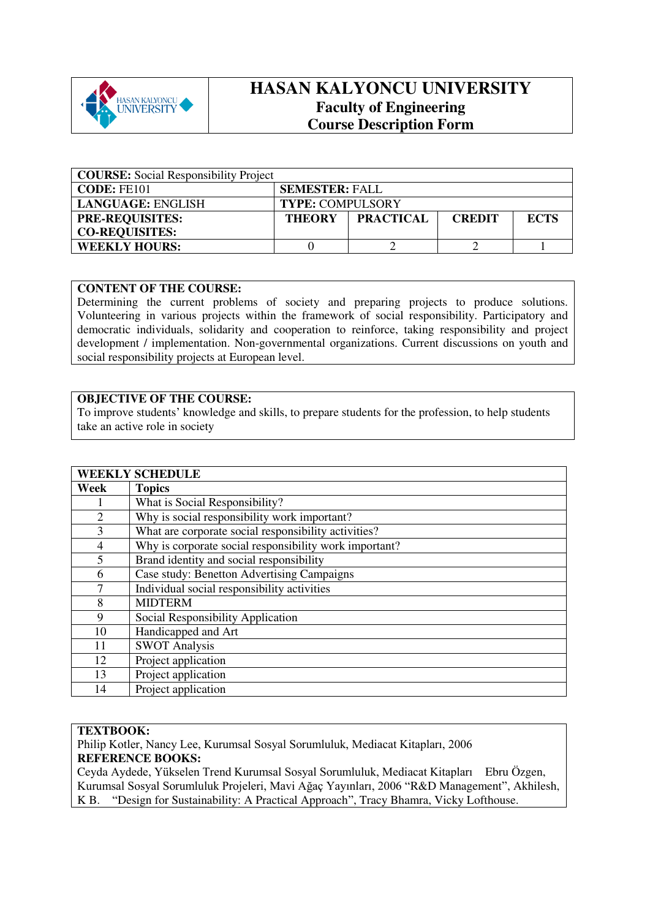

# **HASAN KALYONCU UNIVERSITY Faculty of Engineering Course Description Form**

| <b>COURSE:</b> Social Responsibility Project |                         |                  |               |             |
|----------------------------------------------|-------------------------|------------------|---------------|-------------|
| CODE: FE101                                  | <b>SEMESTER: FALL</b>   |                  |               |             |
| LANGUAGE: ENGLISH                            | <b>TYPE: COMPULSORY</b> |                  |               |             |
| <b>PRE-REQUISITES:</b>                       | <b>THEORY</b>           | <b>PRACTICAL</b> | <b>CREDIT</b> | <b>ECTS</b> |
| <b>CO-REQUISITES:</b>                        |                         |                  |               |             |
| <b>WEEKLY HOURS:</b>                         |                         |                  |               |             |

### **CONTENT OF THE COURSE:**

Determining the current problems of society and preparing projects to produce solutions. Volunteering in various projects within the framework of social responsibility. Participatory and democratic individuals, solidarity and cooperation to reinforce, taking responsibility and project development / implementation. Non-governmental organizations. Current discussions on youth and social responsibility projects at European level.

## **OBJECTIVE OF THE COURSE:**

To improve students' knowledge and skills, to prepare students for the profession, to help students take an active role in society

## **WEEKLY SCHEDULE Week Topics**  1 What is Social Responsibility? 2 Why is social responsibility work important? 3 What are corporate social responsibility activities? 4 Why is corporate social responsibility work important? 5 Brand identity and social responsibility 6 Case study: Benetton Advertising Campaigns 7 Individual social responsibility activities 8 MIDTERM<br>9 Social Resp Social Responsibility Application 10 Handicapped and Art 11 SWOT Analysis 12 Project application 13 Project application 14 Project application

### **TEXTBOOK:**

Philip Kotler, Nancy Lee, Kurumsal Sosyal Sorumluluk, Mediacat Kitapları, 2006 **REFERENCE BOOKS:** 

Ceyda Aydede, Yükselen Trend Kurumsal Sosyal Sorumluluk, Mediacat Kitapları Ebru Özgen, Kurumsal Sosyal Sorumluluk Projeleri, Mavi Ağaç Yayınları, 2006 "R&D Management", Akhilesh, K B. "Design for Sustainability: A Practical Approach", Tracy Bhamra, Vicky Lofthouse.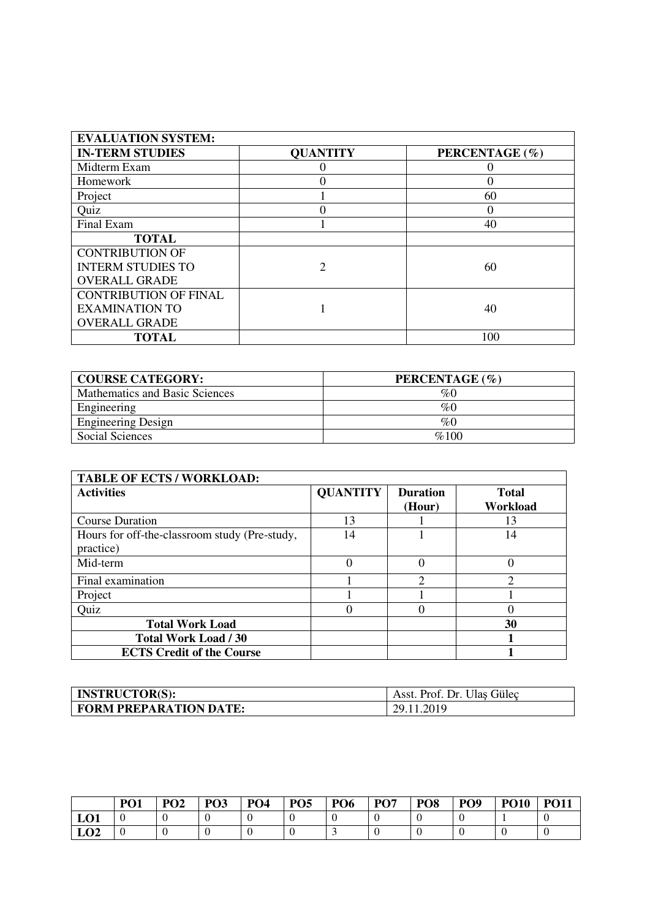| <b>EVALUATION SYSTEM:</b>    |                 |                  |
|------------------------------|-----------------|------------------|
| <b>IN-TERM STUDIES</b>       | <b>QUANTITY</b> | PERCENTAGE (%)   |
| Midterm Exam                 |                 |                  |
| Homework                     | 0               | $\Omega$         |
| Project                      |                 | 60               |
| Quiz                         |                 | $\left( \right)$ |
| Final Exam                   |                 | 40               |
| <b>TOTAL</b>                 |                 |                  |
| <b>CONTRIBUTION OF</b>       |                 |                  |
| <b>INTERM STUDIES TO</b>     | $\mathfrak{D}$  | 60               |
| <b>OVERALL GRADE</b>         |                 |                  |
| <b>CONTRIBUTION OF FINAL</b> |                 |                  |
| <b>EXAMINATION TO</b>        |                 | 40               |
| <b>OVERALL GRADE</b>         |                 |                  |
| <b>TOTAL</b>                 |                 | 100              |

| <b>COURSE CATEGORY:</b>        | PERCENTAGE (%) |
|--------------------------------|----------------|
| Mathematics and Basic Sciences | $\%0$          |
| Engineering                    | $\%0$          |
| <b>Engineering Design</b>      | $\%0$          |
| Social Sciences                | %100           |

| <b>TABLE OF ECTS / WORKLOAD:</b>                           |                 |                           |                          |
|------------------------------------------------------------|-----------------|---------------------------|--------------------------|
| <b>Activities</b>                                          | <b>QUANTITY</b> | <b>Duration</b><br>(Hour) | <b>Total</b><br>Workload |
| <b>Course Duration</b>                                     | 13              |                           | 13                       |
| Hours for off-the-classroom study (Pre-study,<br>practice) | 14              |                           | 14                       |
| Mid-term                                                   | $\Omega$        |                           | $\Omega$                 |
| Final examination                                          |                 | ↑                         | $\mathfrak{D}$           |
| Project                                                    |                 |                           |                          |
| Quiz                                                       |                 |                           | $\Omega$                 |
| <b>Total Work Load</b>                                     |                 |                           | 30                       |
| <b>Total Work Load / 30</b>                                |                 |                           |                          |
| <b>ECTS Credit of the Course</b>                           |                 |                           |                          |

| <b>INSTRUCTOR(S):</b>  | Asst. Prof. Dr. Ulas Gülec |
|------------------------|----------------------------|
| FORM PREPARATION DATE: | 29.11.2019                 |

|             | PO <sub>1</sub> | PO <sub>2</sub> | PO <sub>3</sub> | PO <sub>4</sub> | PO <sub>5</sub> | PO <sub>6</sub> | PO <sub>7</sub> | PO <sub>8</sub> | PO <sub>9</sub> | <b>PO10</b> | <b>PO11</b> |
|-------------|-----------------|-----------------|-----------------|-----------------|-----------------|-----------------|-----------------|-----------------|-----------------|-------------|-------------|
| LO1         |                 |                 |                 |                 |                 |                 |                 |                 |                 |             |             |
| т Лл<br>LV4 |                 |                 |                 | ν               |                 |                 |                 |                 |                 |             |             |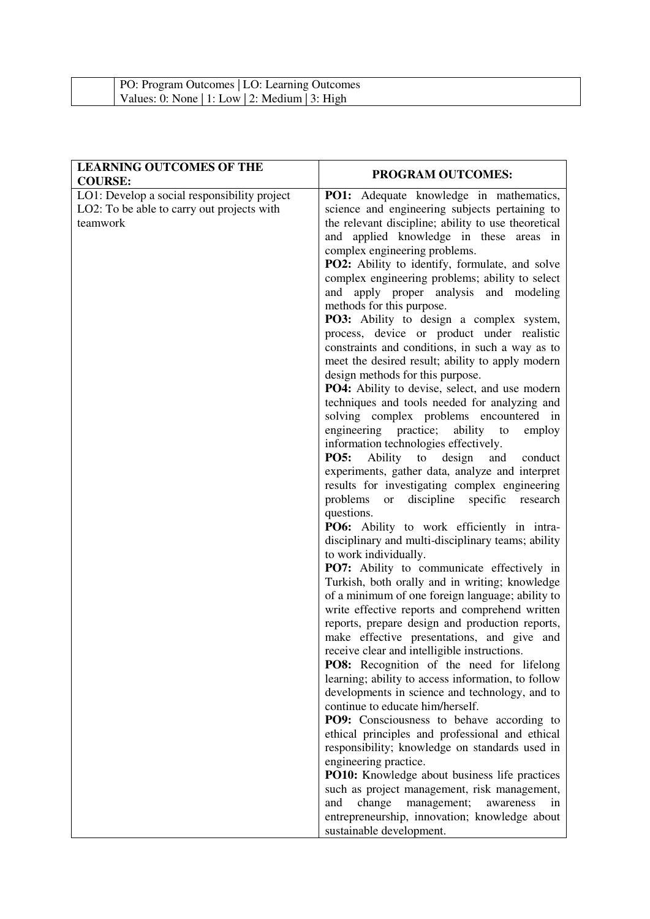| PO: Program Outcomes   LO: Learning Outcomes   |  |  |
|------------------------------------------------|--|--|
| Values: 0: None   1: Low   2: Medium   3: High |  |  |

| <b>LEARNING OUTCOMES OF THE</b><br><b>COURSE:</b> | <b>PROGRAM OUTCOMES:</b>                                                                          |
|---------------------------------------------------|---------------------------------------------------------------------------------------------------|
| LO1: Develop a social responsibility project      | PO1: Adequate knowledge in mathematics,                                                           |
| LO2: To be able to carry out projects with        | science and engineering subjects pertaining to                                                    |
| teamwork                                          | the relevant discipline; ability to use theoretical                                               |
|                                                   | and applied knowledge in these areas in                                                           |
|                                                   | complex engineering problems.                                                                     |
|                                                   | <b>PO2:</b> Ability to identify, formulate, and solve                                             |
|                                                   | complex engineering problems; ability to select<br>and apply proper analysis and modeling         |
|                                                   | methods for this purpose.                                                                         |
|                                                   | PO3: Ability to design a complex system,                                                          |
|                                                   | process, device or product under realistic                                                        |
|                                                   | constraints and conditions, in such a way as to                                                   |
|                                                   | meet the desired result; ability to apply modern                                                  |
|                                                   | design methods for this purpose.                                                                  |
|                                                   | PO4: Ability to devise, select, and use modern                                                    |
|                                                   | techniques and tools needed for analyzing and                                                     |
|                                                   | solving complex problems encountered in                                                           |
|                                                   | engineering practice;<br>ability to<br>employ                                                     |
|                                                   | information technologies effectively.                                                             |
|                                                   | <b>PO5:</b><br>Ability to<br>design<br>and<br>conduct                                             |
|                                                   | experiments, gather data, analyze and interpret                                                   |
|                                                   | results for investigating complex engineering                                                     |
|                                                   | problems<br>specific<br>discipline<br>research<br><sub>or</sub>                                   |
|                                                   | questions.                                                                                        |
|                                                   | PO6: Ability to work efficiently in intra-<br>disciplinary and multi-disciplinary teams; ability  |
|                                                   | to work individually.                                                                             |
|                                                   | PO7: Ability to communicate effectively in                                                        |
|                                                   | Turkish, both orally and in writing; knowledge                                                    |
|                                                   | of a minimum of one foreign language; ability to                                                  |
|                                                   | write effective reports and comprehend written                                                    |
|                                                   | reports, prepare design and production reports,                                                   |
|                                                   | make effective presentations, and give and                                                        |
|                                                   | receive clear and intelligible instructions.                                                      |
|                                                   | PO8: Recognition of the need for lifelong                                                         |
|                                                   | learning; ability to access information, to follow                                                |
|                                                   | developments in science and technology, and to                                                    |
|                                                   | continue to educate him/herself.                                                                  |
|                                                   | <b>PO9:</b> Consciousness to behave according to                                                  |
|                                                   | ethical principles and professional and ethical<br>responsibility; knowledge on standards used in |
|                                                   | engineering practice.                                                                             |
|                                                   | PO10: Knowledge about business life practices                                                     |
|                                                   | such as project management, risk management,                                                      |
|                                                   | change<br>and<br>management;<br>awareness<br>in                                                   |
|                                                   | entrepreneurship, innovation; knowledge about                                                     |
|                                                   | sustainable development.                                                                          |